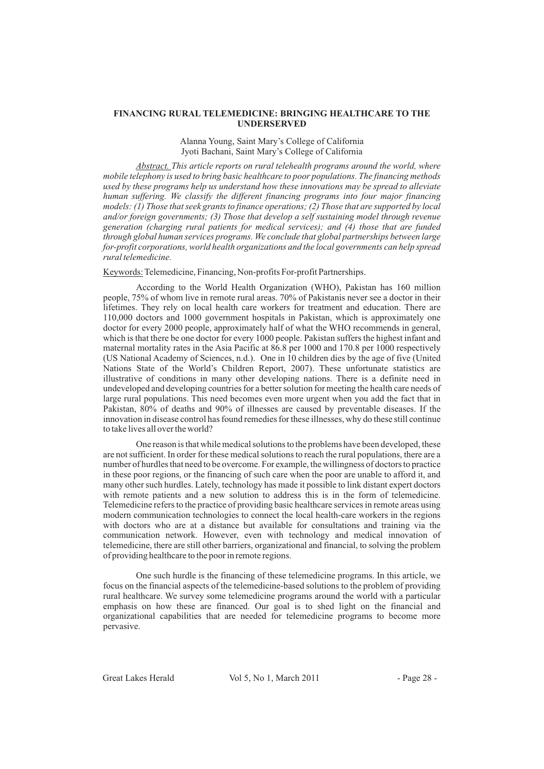## **FINANCING RURAL TELEMEDICINE: BRINGING HEALTHCARE TO THE UNDERSERVED**

### Alanna Young, Saint Mary's College of California Jyoti Bachani, Saint Mary's College of California

*This article reports on rural telehealth programs around the world, where Abstract. mobile telephony is used to bring basic healthcare to poor populations. The financing methods used by these programs help us understand how these innovations may be spread to alleviate human suffering. We classify the different financing programs into four major financing models: (1) Those that seek grants to finance operations; (2) Those that are supported by local and/or foreign governments; (3) Those that develop a self sustaining model through revenue generation (charging rural patients for medical services); and (4) those that are funded through global human services programs. We conclude that global partnerships between large for-profit corporations, world health organizations and the local governments can help spread rural telemedicine.*

Keywords: Telemedicine, Financing, Non-profits For-profit Partnerships.

According to the World Health Organization (WHO), Pakistan has 160 million people, 75% of whom live in remote rural areas. 70% of Pakistanis never see a doctor in their lifetimes. They rely on local health care workers for treatment and education. There are 110,000 doctors and 1000 government hospitals in Pakistan, which is approximately one doctor for every 2000 people, approximately half of what the WHO recommends in general, which is that there be one doctor for every 1000 people. Pakistan suffers the highest infant and maternal mortality rates in the Asia Pacific at 86.8 per 1000 and 170.8 per 1000 respectively (US National Academy of Sciences, n.d.). One in 10 children dies by the age of five (United Nations State of the World's Children Report, 2007). These unfortunate statistics are illustrative of conditions in many other developing nations. There is a definite need in undeveloped and developing countries for a better solution for meeting the health care needs of large rural populations. This need becomes even more urgent when you add the fact that in Pakistan, 80% of deaths and 90% of illnesses are caused by preventable diseases. If the innovation in disease control has found remedies for these illnesses, why do these still continue to take lives all over the world?

One reason is that while medical solutions to the problems have been developed, these are not sufficient. In order for these medical solutions to reach the rural populations, there are a number of hurdles that need to be overcome. For example, the willingness of doctors to practice in these poor regions, or the financing of such care when the poor are unable to afford it, and many other such hurdles. Lately, technology has made it possible to link distant expert doctors with remote patients and a new solution to address this is in the form of telemedicine. Telemedicine refers to the practice of providing basic healthcare services in remote areas using modern communication technologies to connect the local health-care workers in the regions with doctors who are at a distance but available for consultations and training via the communication network. However, even with technology and medical innovation of telemedicine, there are still other barriers, organizational and financial, to solving the problem of providing healthcare to the poor in remote regions.

One such hurdle is the financing of these telemedicine programs. In this article, we focus on the financial aspects of the telemedicine-based solutions to the problem of providing rural healthcare. We survey some telemedicine programs around the world with a particular emphasis on how these are financed. Our goal is to shed light on the financial and organizational capabilities that are needed for telemedicine programs to become more pervasive.

Great Lakes Herald Vol 5, No 1, March 2011 - Page 28 -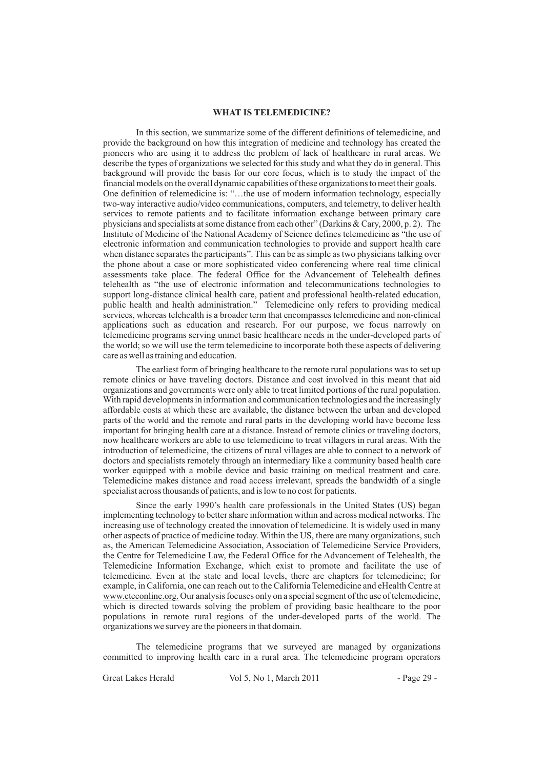#### **WHAT IS TELEMEDICINE?**

In this section, we summarize some of the different definitions of telemedicine, and provide the background on how this integration of medicine and technology has created the pioneers who are using it to address the problem of lack of healthcare in rural areas. We describe the types of organizations we selected for this study and what they do in general. This background will provide the basis for our core focus, which is to study the impact of the financial models on the overall dynamic capabilities of these organizations to meet their goals. One definition of telemedicine is: "…the use of modern information technology, especially two-way interactive audio/video communications, computers, and telemetry, to deliver health services to remote patients and to facilitate information exchange between primary care physicians and specialists at some distance from each other" (Darkins & Cary, 2000, p. 2). The Institute of Medicine of the National Academy of Science defines telemedicine as "the use of electronic information and communication technologies to provide and support health care when distance separates the participants". This can be as simple as two physicians talking over the phone about a case or more sophisticated video conferencing where real time clinical assessments take place. The federal Office for the Advancement of Telehealth defines telehealth as "the use of electronic information and telecommunications technologies to support long-distance clinical health care, patient and professional health-related education, public health and health administration." Telemedicine only refers to providing medical services, whereas telehealth is a broader term that encompasses telemedicine and non-clinical applications such as education and research. For our purpose, we focus narrowly on telemedicine programs serving unmet basic healthcare needs in the under-developed parts of the world; so we will use the term telemedicine to incorporate both these aspects of delivering care as well as training and education.

The earliest form of bringing healthcare to the remote rural populations was to set up remote clinics or have traveling doctors. Distance and cost involved in this meant that aid organizations and governments were only able to treat limited portions of the rural population. With rapid developments in information and communication technologies and the increasingly affordable costs at which these are available, the distance between the urban and developed parts of the world and the remote and rural parts in the developing world have become less important for bringing health care at a distance. Instead of remote clinics or traveling doctors, now healthcare workers are able to use telemedicine to treat villagers in rural areas. With the introduction of telemedicine, the citizens of rural villages are able to connect to a network of doctors and specialists remotely through an intermediary like a community based health care worker equipped with a mobile device and basic training on medical treatment and care. Telemedicine makes distance and road access irrelevant, spreads the bandwidth of a single specialist across thousands of patients, and is low to no cost for patients.

Since the early 1990's health care professionals in the United States (US) began implementing technology to better share information within and across medical networks. The increasing use of technology created the innovation of telemedicine. It is widely used in many other aspects of practice of medicine today. Within the US, there are many organizations, such as, the American Telemedicine Association, Association of Telemedicine Service Providers, the Centre for Telemedicine Law, the Federal Office for the Advancement of Telehealth, the Telemedicine Information Exchange, which exist to promote and facilitate the use of telemedicine. Even at the state and local levels, there are chapters for telemedicine; for example, in California, one can reach out to the California Telemedicine and eHealth Centre at www.cteconline.org. Our analysis focuses only on a special segment of the use of telemedicine, which is directed towards solving the problem of providing basic healthcare to the poor populations in remote rural regions of the under-developed parts of the world. The organizations we survey are the pioneers in that domain.

The telemedicine programs that we surveyed are managed by organizations committed to improving health care in a rural area. The telemedicine program operators

Great Lakes Herald Vol 5, No 1, March 2011 - Page 29 -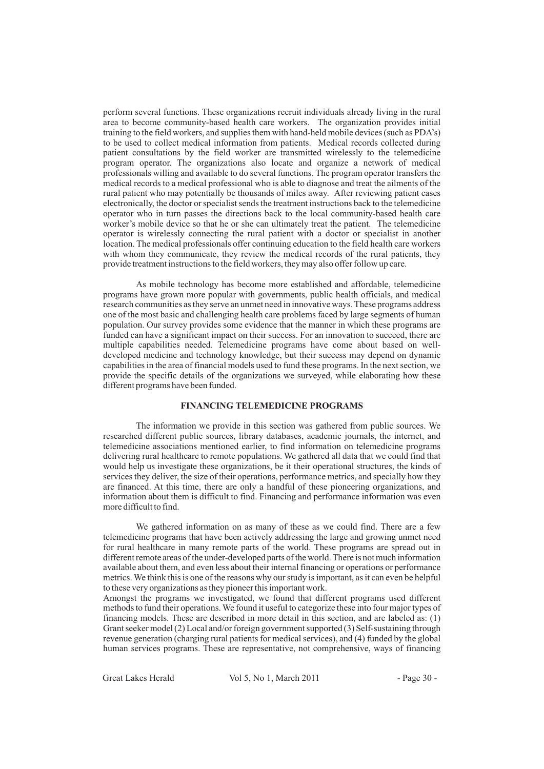perform several functions. These organizations recruit individuals already living in the rural area to become community-based health care workers. The organization provides initial training to the field workers, and supplies them with hand-held mobile devices (such as PDA's) to be used to collect medical information from patients. Medical records collected during patient consultations by the field worker are transmitted wirelessly to the telemedicine program operator. The organizations also locate and organize a network of medical professionals willing and available to do several functions. The program operator transfers the medical records to a medical professional who is able to diagnose and treat the ailments of the rural patient who may potentially be thousands of miles away. After reviewing patient cases electronically, the doctor or specialist sends the treatment instructions back to the telemedicine operator who in turn passes the directions back to the local community-based health care worker's mobile device so that he or she can ultimately treat the patient. The telemedicine operator is wirelessly connecting the rural patient with a doctor or specialist in another location. The medical professionals offer continuing education to the field health care workers with whom they communicate, they review the medical records of the rural patients, they provide treatment instructions to the field workers, they may also offer follow up care.

As mobile technology has become more established and affordable, telemedicine programs have grown more popular with governments, public health officials, and medical research communities as they serve an unmet need in innovative ways. These programs address one of the most basic and challenging health care problems faced by large segments of human population. Our survey provides some evidence that the manner in which these programs are funded can have a significant impact on their success. For an innovation to succeed, there are multiple capabilities needed. Telemedicine programs have come about based on welldeveloped medicine and technology knowledge, but their success may depend on dynamic capabilities in the area of financial models used to fund these programs. In the next section, we provide the specific details of the organizations we surveyed, while elaborating how these different programs have been funded.

# **FINANCING TELEMEDICINE PROGRAMS**

The information we provide in this section was gathered from public sources. We researched different public sources, library databases, academic journals, the internet, and telemedicine associations mentioned earlier, to find information on telemedicine programs delivering rural healthcare to remote populations. We gathered all data that we could find that would help us investigate these organizations, be it their operational structures, the kinds of services they deliver, the size of their operations, performance metrics, and specially how they are financed. At this time, there are only a handful of these pioneering organizations, and information about them is difficult to find. Financing and performance information was even more difficult to find.

We gathered information on as many of these as we could find. There are a few telemedicine programs that have been actively addressing the large and growing unmet need for rural healthcare in many remote parts of the world. These programs are spread out in different remote areas of the under-developed parts of the world. There is not much information available about them, and even less about their internal financing or operations or performance metrics. We think this is one of the reasons why our study is important, as it can even be helpful to these very organizations as they pioneer this important work.

Amongst the programs we investigated, we found that different programs used different methods to fund their operations. We found it useful to categorize these into four major types of financing models. These are described in more detail in this section, and are labeled as: (1) Grant seeker model (2) Local and/or foreign government supported (3) Self-sustaining through revenue generation (charging rural patients for medical services), and (4) funded by the global human services programs. These are representative, not comprehensive, ways of financing

Great Lakes Herald Vol 5, No 1, March 2011 - Page 30 -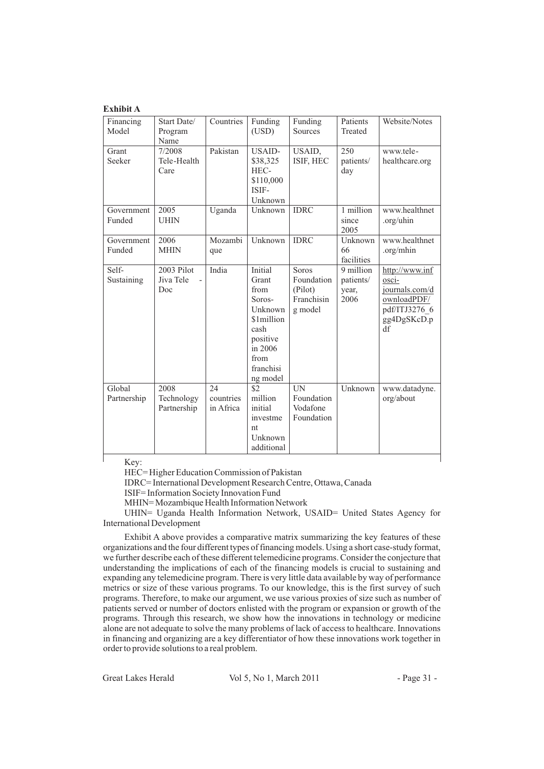# **Exhibit A**

| Financing<br>Model    | Start Date/<br>Program                | Countries                    | Funding<br>(USD)                                                                                                                   | Funding<br>Sources                                             | Patients<br>Treated                     | Website/Notes                                                                                                       |
|-----------------------|---------------------------------------|------------------------------|------------------------------------------------------------------------------------------------------------------------------------|----------------------------------------------------------------|-----------------------------------------|---------------------------------------------------------------------------------------------------------------------|
| Grant<br>Seeker       | Name<br>7/2008<br>Tele-Health<br>Care | Pakistan                     | <b>USAID-</b><br>\$38,325<br>HEC-<br>\$110,000<br>ISIF-<br>Unknown                                                                 | USAID,<br>ISIF, HEC                                            | 250<br>patients/<br>day                 | www.tele-<br>healthcare.org                                                                                         |
| Government<br>Funded  | 2005<br><b>UHIN</b>                   | Uganda                       | Unknown                                                                                                                            | <b>IDRC</b>                                                    | 1 million<br>since<br>2005              | www.healthnet<br>.org/uhin                                                                                          |
| Government<br>Funded  | 2006<br><b>MHIN</b>                   | Mozambi<br>que               | Unknown                                                                                                                            | <b>IDRC</b>                                                    | Unknown<br>66<br>facilities             | www.healthnet<br>.org/mhin                                                                                          |
| Self-<br>Sustaining   | 2003 Pilot<br>Jiva Tele<br>Doc        | India                        | <b>Initial</b><br>Grant<br>from<br>Soros-<br>Unknown<br>\$1million<br>cash<br>positive<br>in 2006<br>from<br>franchisi<br>ng model | <b>Soros</b><br>Foundation<br>(Pilot)<br>Franchisin<br>g model | 9 million<br>patients/<br>year,<br>2006 | http://www.inf<br>$\overline{\text{osci}}$ -<br>journals.com/d<br>ownloadPDF/<br>pdf/ITJ3276 6<br>gg4DgSKcD.p<br>df |
| Global<br>Partnership | 2008<br>Technology<br>Partnership     | 24<br>countries<br>in Africa | \$2<br>million<br>initial<br>investme<br>nt<br>Unknown<br>additional                                                               | <b>IN</b><br>Foundation<br>Vodafone<br>Foundation              | Unknown                                 | www.datadyne.<br>org/about                                                                                          |
| $V \alpha v$          |                                       |                              |                                                                                                                                    |                                                                |                                         |                                                                                                                     |

Key:

HEC= Higher Education Commission of Pakistan

IDRC= International Development Research Centre, Ottawa, Canada

ISIF= Information Society Innovation Fund

MHIN= Mozambique Health Information Network

UHIN= Uganda Health Information Network, USAID= United States Agency for International Development

Exhibit A above provides a comparative matrix summarizing the key features of these organizations and the four different types of financing models. Using a short case-study format, we further describe each of these different telemedicine programs. Consider the conjecture that understanding the implications of each of the financing models is crucial to sustaining and expanding any telemedicine program. There is very little data available by way of performance metrics or size of these various programs. To our knowledge, this is the first survey of such programs. Therefore, to make our argument, we use various proxies of size such as number of patients served or number of doctors enlisted with the program or expansion or growth of the programs. Through this research, we show how the innovations in technology or medicine alone are not adequate to solve the many problems of lack of access to healthcare. Innovations in financing and organizing are a key differentiator of how these innovations work together in order to provide solutions to a real problem.

Great Lakes Herald Vol 5, No 1, March 2011 - Page 31 -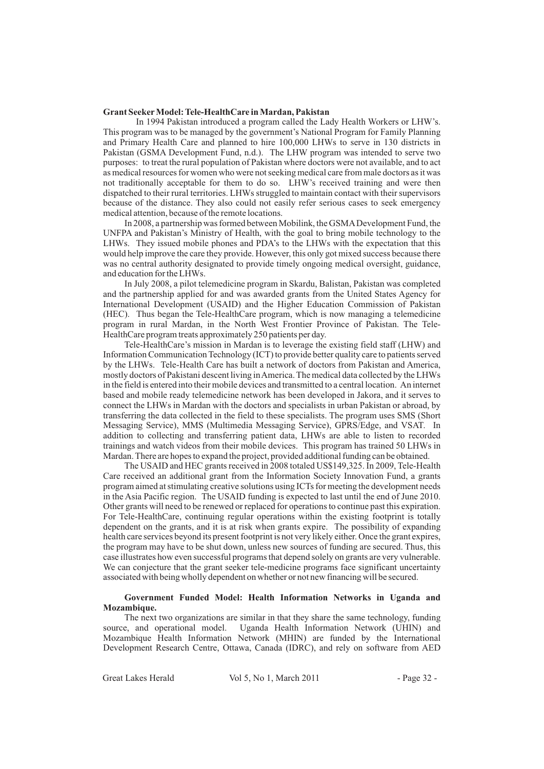#### **Grant Seeker Model: Tele-HealthCare in Mardan, Pakistan**

In 1994 Pakistan introduced a program called the Lady Health Workers or LHW's. This program was to be managed by the government's National Program for Family Planning and Primary Health Care and planned to hire 100,000 LHWs to serve in 130 districts in Pakistan (GSMA Development Fund, n.d.). The LHW program was intended to serve two purposes: to treat the rural population of Pakistan where doctors were not available, and to act as medical resources for women who were not seeking medical care from male doctors as it was not traditionally acceptable for them to do so. LHW's received training and were then dispatched to their rural territories. LHWs struggled to maintain contact with their supervisors because of the distance. They also could not easily refer serious cases to seek emergency medical attention, because of the remote locations.

In 2008, a partnership was formed between Mobilink, the GSMADevelopment Fund, the UNFPA and Pakistan's Ministry of Health, with the goal to bring mobile technology to the LHWs. They issued mobile phones and PDA's to the LHWs with the expectation that this would help improve the care they provide. However, this only got mixed success because there was no central authority designated to provide timely ongoing medical oversight, guidance, and education for the LHWs.

In July 2008, a pilot telemedicine program in Skardu, Balistan, Pakistan was completed and the partnership applied for and was awarded grants from the United States Agency for International Development (USAID) and the Higher Education Commission of Pakistan (HEC). Thus began the Tele-HealthCare program, which is now managing a telemedicine program in rural Mardan, in the North West Frontier Province of Pakistan. The Tele-HealthCare program treats approximately 250 patients per day.

Tele-HealthCare's mission in Mardan is to leverage the existing field staff (LHW) and Information Communication Technology (ICT) to provide better quality care to patients served by the LHWs. Tele-Health Care has built a network of doctors from Pakistan and America, mostly doctors of Pakistani descent living inAmerica. The medical data collected by the LHWs in the field is entered into their mobile devices and transmitted to a central location. An internet based and mobile ready telemedicine network has been developed in Jakora, and it serves to connect the LHWs in Mardan with the doctors and specialists in urban Pakistan or abroad, by transferring the data collected in the field to these specialists. The program uses SMS (Short Messaging Service), MMS (Multimedia Messaging Service), GPRS/Edge, and VSAT. In addition to collecting and transferring patient data, LHWs are able to listen to recorded trainings and watch videos from their mobile devices. This program has trained 50 LHWs in Mardan. There are hopes to expand the project, provided additional funding can be obtained.

The USAID and HEC grants received in 2008 totaled US\$149,325. In 2009, Tele-Health Care received an additional grant from the Information Society Innovation Fund, a grants program aimed at stimulating creative solutions using ICTs for meeting the development needs in the Asia Pacific region. The USAID funding is expected to last until the end of June 2010. Other grants will need to be renewed or replaced for operations to continue past this expiration. For Tele-HealthCare, continuing regular operations within the existing footprint is totally dependent on the grants, and it is at risk when grants expire. The possibility of expanding health care services beyond its present footprint is not very likely either. Once the grant expires, the program may have to be shut down, unless new sources of funding are secured. Thus, this case illustrates how even successful programs that depend solely on grants are very vulnerable. We can conjecture that the grant seeker tele-medicine programs face significant uncertainty associated with being wholly dependent on whether or not new financing will be secured.

# **Government Funded Model: Health Information Networks in Uganda and Mozambique.**

The next two organizations are similar in that they share the same technology, funding source, and operational model. Uganda Health Information Network (UHIN) and Mozambique Health Information Network (MHIN) are funded by the International Development Research Centre, Ottawa, Canada (IDRC), and rely on software from AED

Great Lakes Herald Vol 5, No 1, March 2011 - Page 32 -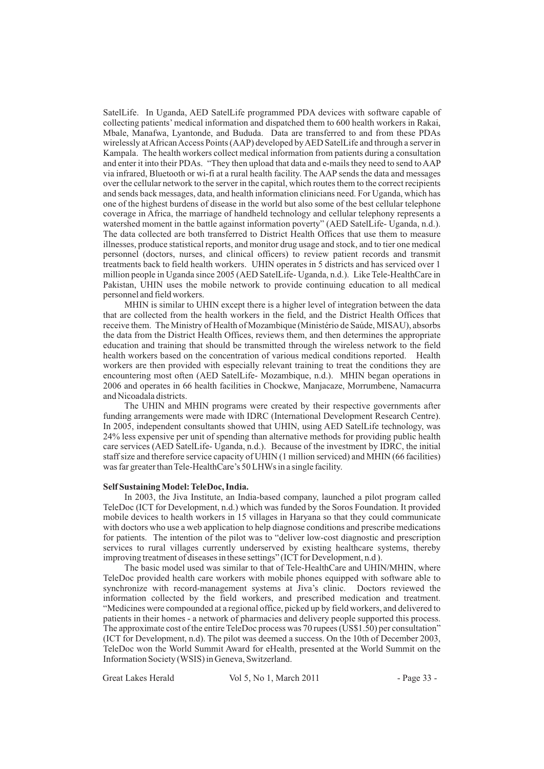SatelLife. In Uganda, AED SatelLife programmed PDA devices with software capable of collecting patients' medical information and dispatched them to 600 health workers in Rakai, Mbale, Manafwa, Lyantonde, and Bududa. Data are transferred to and from these PDAs wirelessly at African Access Points (AAP) developed by AED SatelLife and through a server in Kampala. The health workers collect medical information from patients during a consultation and enter it into their PDAs. "They then upload that data and e-mails they need to send to AAP via infrared, Bluetooth or wi-fi at a rural health facility. The AAP sends the data and messages over the cellular network to the server in the capital, which routes them to the correct recipients and sends back messages, data, and health information clinicians need. For Uganda, which has one of the highest burdens of disease in the world but also some of the best cellular telephone coverage in Africa, the marriage of handheld technology and cellular telephony represents a watershed moment in the battle against information poverty" (AED SatelLife- Uganda, n.d.). The data collected are both transferred to District Health Offices that use them to measure illnesses, produce statistical reports, and monitor drug usage and stock, and to tier one medical personnel (doctors, nurses, and clinical officers) to review patient records and transmit treatments back to field health workers. UHIN operates in 5 districts and has serviced over 1 million people in Uganda since 2005 (AED SatelLife- Uganda, n.d.). Like Tele-HealthCare in Pakistan, UHIN uses the mobile network to provide continuing education to all medical personnel and field workers.

MHIN is similar to UHIN except there is a higher level of integration between the data that are collected from the health workers in the field, and the District Health Offices that receive them. The Ministry of Health of Mozambique (Ministério de Saúde, MISAU), absorbs the data from the District Health Offices, reviews them, and then determines the appropriate education and training that should be transmitted through the wireless network to the field health workers based on the concentration of various medical conditions reported. Health workers are then provided with especially relevant training to treat the conditions they are encountering most often (AED SatelLife- Mozambique, n.d.). MHIN began operations in 2006 and operates in 66 health facilities in Chockwe, Manjacaze, Morrumbene, Namacurra and Nicoadala districts.

The UHIN and MHIN programs were created by their respective governments after funding arrangements were made with IDRC (International Development Research Centre). In 2005, independent consultants showed that UHIN, using AED SatelLife technology, was 24% less expensive per unit of spending than alternative methods for providing public health care services (AED SatelLife- Uganda, n.d.). Because of the investment by IDRC, the initial staff size and therefore service capacity of UHIN (1 million serviced) and MHIN (66 facilities) was far greater than Tele-HealthCare's 50 LHWs in a single facility.

#### **Self Sustaining Model: TeleDoc, India.**

In 2003, the Jiva Institute, an India-based company, launched a pilot program called TeleDoc (ICT for Development, n.d.) which was funded by the Soros Foundation. It provided mobile devices to health workers in 15 villages in Haryana so that they could communicate with doctors who use a web application to help diagnose conditions and prescribe medications for patients. The intention of the pilot was to "deliver low-cost diagnostic and prescription services to rural villages currently underserved by existing healthcare systems, thereby improving treatment of diseases in these settings" (ICT for Development, n.d ).

The basic model used was similar to that of Tele-HealthCare and UHIN/MHIN, where TeleDoc provided health care workers with mobile phones equipped with software able to synchronize with record-management systems at Jiva's clinic. Doctors reviewed the information collected by the field workers, and prescribed medication and treatment. "Medicines were compounded at a regional office, picked up by field workers, and delivered to patients in their homes - a network of pharmacies and delivery people supported this process. The approximate cost of the entire TeleDoc process was 70 rupees (US\$1.50) per consultation" (ICT for Development, n.d). The pilot was deemed a success. On the 10th of December 2003, TeleDoc won the World Summit Award for eHealth, presented at the World Summit on the Information Society (WSIS) in Geneva, Switzerland.

Great Lakes Herald Vol 5, No 1, March 2011 - Page 33 -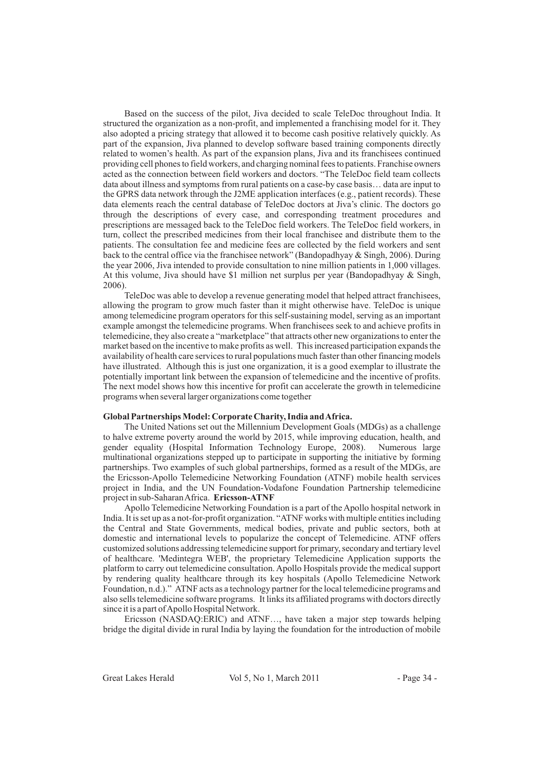Based on the success of the pilot, Jiva decided to scale TeleDoc throughout India. It structured the organization as a non-profit, and implemented a franchising model for it. They also adopted a pricing strategy that allowed it to become cash positive relatively quickly. As part of the expansion, Jiva planned to develop software based training components directly related to women's health. As part of the expansion plans, Jiva and its franchisees continued providing cell phones to field workers, and charging nominal fees to patients. Franchise owners acted as the connection between field workers and doctors. "The TeleDoc field team collects data about illness and symptoms from rural patients on a case-by case basis… data are input to the GPRS data network through the J2ME application interfaces (e.g., patient records). These data elements reach the central database of TeleDoc doctors at Jiva's clinic. The doctors go through the descriptions of every case, and corresponding treatment procedures and prescriptions are messaged back to the TeleDoc field workers. The TeleDoc field workers, in turn, collect the prescribed medicines from their local franchisee and distribute them to the patients. The consultation fee and medicine fees are collected by the field workers and sent back to the central office via the franchisee network" (Bandopadhyay & Singh, 2006). During the year 2006, Jiva intended to provide consultation to nine million patients in 1,000 villages. At this volume, Jiva should have \$1 million net surplus per year (Bandopadhyay & Singh, 2006).

TeleDoc was able to develop a revenue generating model that helped attract franchisees, allowing the program to grow much faster than it might otherwise have. TeleDoc is unique among telemedicine program operators for this self-sustaining model, serving as an important example amongst the telemedicine programs. When franchisees seek to and achieve profits in telemedicine, they also create a "marketplace" that attracts other new organizations to enter the market based on the incentive to make profits as well. This increased participation expands the availability of health care services to rural populations much faster than other financing models have illustrated. Although this is just one organization, it is a good exemplar to illustrate the potentially important link between the expansion of telemedicine and the incentive of profits. The next model shows how this incentive for profit can accelerate the growth in telemedicine programs when several larger organizations come together

## **Global Partnerships Model: Corporate Charity, India andAfrica.**

The United Nations set out the Millennium Development Goals (MDGs) as a challenge to halve extreme poverty around the world by 2015, while improving education, health, and gender equality (Hospital Information Technology Europe, 2008). Numerous large multinational organizations stepped up to participate in supporting the initiative by forming partnerships. Two examples of such global partnerships, formed as a result of the MDGs, are the Ericsson-Apollo Telemedicine Networking Foundation (ATNF) mobile health services project in India, and the UN Foundation-Vodafone Foundation Partnership telemedicine project in sub-SaharanAfrica. **Ericsson-ATNF**

Apollo Telemedicine Networking Foundation is a part of the Apollo hospital network in India. It is set up as a not-for-profit organization. "ATNF works with multiple entities including the Central and State Governments, medical bodies, private and public sectors, both at domestic and international levels to popularize the concept of Telemedicine. ATNF offers customized solutions addressing telemedicine support for primary, secondary and tertiary level of healthcare. 'Medintegra WEB', the proprietary Telemedicine Application supports the platform to carry out telemedicine consultation. Apollo Hospitals provide the medical support by rendering quality healthcare through its key hospitals (Apollo Telemedicine Network Foundation, n.d.)." ATNF acts as a technology partner for the local telemedicine programs and also sells telemedicine software programs. It links its affiliated programs with doctors directly since it is a part of Apollo Hospital Network.

Ericsson (NASDAQ:ERIC) and ATNF…, have taken a major step towards helping bridge the digital divide in rural India by laying the foundation for the introduction of mobile

Great Lakes Herald Vol 5, No 1, March 2011 - Page 34 -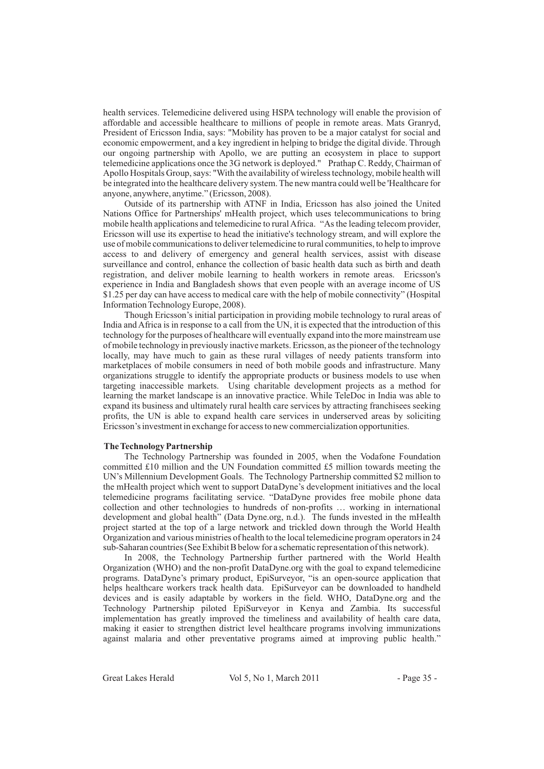health services. Telemedicine delivered using HSPA technology will enable the provision of affordable and accessible healthcare to millions of people in remote areas. Mats Granryd, President of Ericsson India, says: "Mobility has proven to be a major catalyst for social and economic empowerment, and a key ingredient in helping to bridge the digital divide. Through our ongoing partnership with Apollo, we are putting an ecosystem in place to support telemedicine applications once the 3G network is deployed." Prathap C. Reddy, Chairman of Apollo Hospitals Group, says: "With the availability of wireless technology, mobile health will be integrated into the healthcare delivery system. The new mantra could well be 'Healthcare for anyone, anywhere, anytime." (Ericsson, 2008).

Outside of its partnership with ATNF in India, Ericsson has also joined the United Nations Office for Partnerships' mHealth project, which uses telecommunications to bring mobile health applications and telemedicine to ruralAfrica. "As the leading telecom provider, Ericsson will use its expertise to head the initiative's technology stream, and will explore the use of mobile communications to deliver telemedicine to rural communities, to help to improve access to and delivery of emergency and general health services, assist with disease surveillance and control, enhance the collection of basic health data such as birth and death registration, and deliver mobile learning to health workers in remote areas. Ericsson's experience in India and Bangladesh shows that even people with an average income of US \$1.25 per day can have access to medical care with the help of mobile connectivity" (Hospital Information Technology Europe, 2008).

Though Ericsson's initial participation in providing mobile technology to rural areas of India and Africa is in response to a call from the UN, it is expected that the introduction of this technology for the purposes of healthcare will eventually expand into the more mainstream use of mobile technology in previously inactive markets. Ericsson, as the pioneer of the technology locally, may have much to gain as these rural villages of needy patients transform into marketplaces of mobile consumers in need of both mobile goods and infrastructure. Many organizations struggle to identify the appropriate products or business models to use when targeting inaccessible markets. Using charitable development projects as a method for learning the market landscape is an innovative practice. While TeleDoc in India was able to expand its business and ultimately rural health care services by attracting franchisees seeking profits, the UN is able to expand health care services in underserved areas by soliciting Ericsson's investment in exchange for access to new commercialization opportunities.

## **The Technology Partnership**

The Technology Partnership was founded in 2005, when the Vodafone Foundation committed £10 million and the UN Foundation committed £5 million towards meeting the UN's Millennium Development Goals. The Technology Partnership committed \$2 million to the mHealth project which went to support DataDyne's development initiatives and the local telemedicine programs facilitating service. "DataDyne provides free mobile phone data collection and other technologies to hundreds of non-profits … working in international development and global health" (Data Dyne.org, n.d.). The funds invested in the mHealth project started at the top of a large network and trickled down through the World Health Organization and various ministries of health to the local telemedicine program operators in 24 sub-Saharan countries (See Exhibit B below for a schematic representation of this network).

In 2008, the Technology Partnership further partnered with the World Health Organization (WHO) and the non-profit DataDyne.org with the goal to expand telemedicine programs. DataDyne's primary product, EpiSurveyor, "is an open-source application that helps healthcare workers track health data. EpiSurveyor can be downloaded to handheld devices and is easily adaptable by workers in the field. WHO, DataDyne.org and the Technology Partnership piloted EpiSurveyor in Kenya and Zambia. Its successful implementation has greatly improved the timeliness and availability of health care data, making it easier to strengthen district level healthcare programs involving immunizations against malaria and other preventative programs aimed at improving public health."

Great Lakes Herald Vol 5, No 1, March 2011 - Page 35 -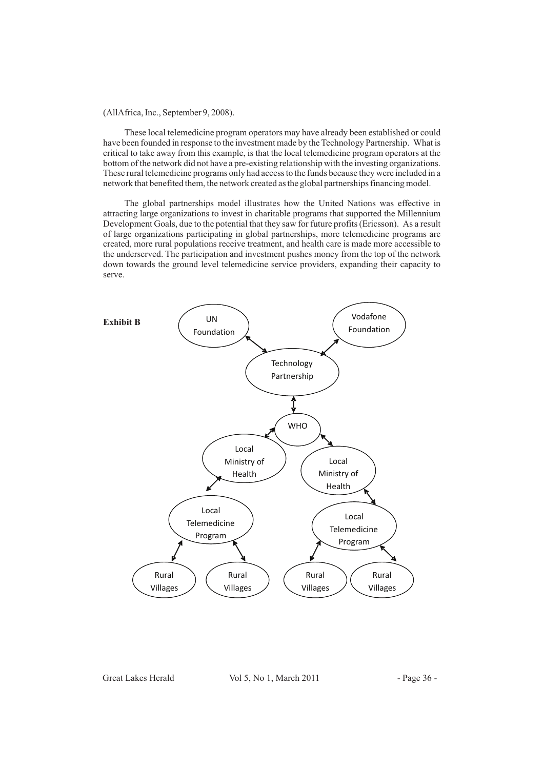(AllAfrica, Inc., September 9, 2008).

These local telemedicine program operators may have already been established or could have been founded in response to the investment made by the Technology Partnership. What is critical to take away from this example, is that the local telemedicine program operators at the bottom of the network did not have a pre-existing relationship with the investing organizations. These rural telemedicine programs only had access to the funds because they were included in a network that benefited them, the network created as the global partnerships financing model.

The global partnerships model illustrates how the United Nations was effective in attracting large organizations to invest in charitable programs that supported the Millennium Development Goals, due to the potential that they saw for future profits (Ericsson). As a result of large organizations participating in global partnerships, more telemedicine programs are created, more rural populations receive treatment, and health care is made more accessible to the underserved. The participation and investment pushes money from the top of the network down towards the ground level telemedicine service providers, expanding their capacity to serve.



Great Lakes Herald Vol 5, No 1, March 2011 - Page 36 -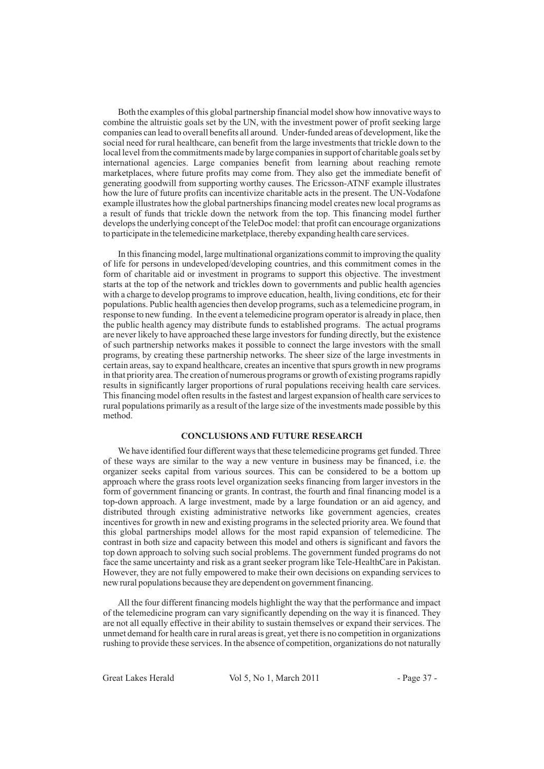Both the examples of this global partnership financial model show how innovative ways to combine the altruistic goals set by the UN, with the investment power of profit seeking large companies can lead to overall benefits all around. Under-funded areas of development, like the social need for rural healthcare, can benefit from the large investments that trickle down to the local level from the commitments made by large companies in support of charitable goals set by international agencies. Large companies benefit from learning about reaching remote marketplaces, where future profits may come from. They also get the immediate benefit of generating goodwill from supporting worthy causes. The Ericsson-ATNF example illustrates how the lure of future profits can incentivize charitable acts in the present. The UN-Vodafone example illustrates how the global partnerships financing model creates new local programs as a result of funds that trickle down the network from the top. This financing model further develops the underlying concept of the TeleDoc model: that profit can encourage organizations to participate in the telemedicine marketplace, thereby expanding health care services.

In this financing model, large multinational organizations commit to improving the quality of life for persons in undeveloped/developing countries, and this commitment comes in the form of charitable aid or investment in programs to support this objective. The investment starts at the top of the network and trickles down to governments and public health agencies with a charge to develop programs to improve education, health, living conditions, etc for their populations. Public health agencies then develop programs, such as a telemedicine program, in response to new funding. In the event a telemedicine program operator is already in place, then the public health agency may distribute funds to established programs. The actual programs are never likely to have approached these large investors for funding directly, but the existence of such partnership networks makes it possible to connect the large investors with the small programs, by creating these partnership networks. The sheer size of the large investments in certain areas, say to expand healthcare, creates an incentive that spurs growth in new programs in that priority area. The creation of numerous programs or growth of existing programs rapidly results in significantly larger proportions of rural populations receiving health care services. This financing model often results in the fastest and largest expansion of health care services to rural populations primarily as a result of the large size of the investments made possible by this method.

# **CONCLUSIONS AND FUTURE RESEARCH**

We have identified four different ways that these telemedicine programs get funded. Three of these ways are similar to the way a new venture in business may be financed, i.e. the organizer seeks capital from various sources. This can be considered to be a bottom up approach where the grass roots level organization seeks financing from larger investors in the form of government financing or grants. In contrast, the fourth and final financing model is a top-down approach. A large investment, made by a large foundation or an aid agency, and distributed through existing administrative networks like government agencies, creates incentives for growth in new and existing programs in the selected priority area. We found that this global partnerships model allows for the most rapid expansion of telemedicine. The contrast in both size and capacity between this model and others is significant and favors the top down approach to solving such social problems. The government funded programs do not face the same uncertainty and risk as a grant seeker program like Tele-HealthCare in Pakistan. However, they are not fully empowered to make their own decisions on expanding services to new rural populations because they are dependent on government financing.

All the four different financing models highlight the way that the performance and impact of the telemedicine program can vary significantly depending on the way it is financed. They are not all equally effective in their ability to sustain themselves or expand their services. The unmet demand for health care in rural areas is great, yet there is no competition in organizations rushing to provide these services. In the absence of competition, organizations do not naturally

Great Lakes Herald Vol 5, No 1, March 2011 - Page 37 -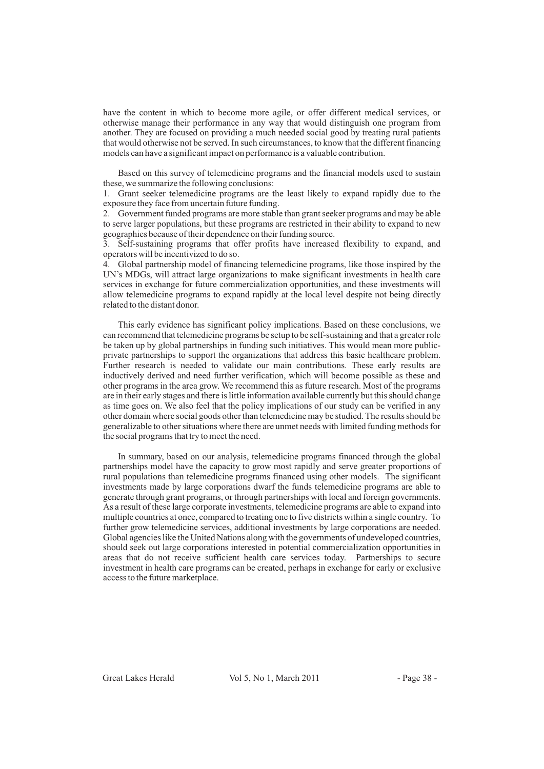have the content in which to become more agile, or offer different medical services, or otherwise manage their performance in any way that would distinguish one program from another. They are focused on providing a much needed social good by treating rural patients that would otherwise not be served. In such circumstances, to know that the different financing models can have a significant impact on performance is a valuable contribution.

Based on this survey of telemedicine programs and the financial models used to sustain these, we summarize the following conclusions:

1. Grant seeker telemedicine programs are the least likely to expand rapidly due to the exposure they face from uncertain future funding.

2. Government funded programs are more stable than grant seeker programs and may be able to serve larger populations, but these programs are restricted in their ability to expand to new geographies because of their dependence on their funding source.

3. Self-sustaining programs that offer profits have increased flexibility to expand, and operators will be incentivized to do so.

4. Global partnership model of financing telemedicine programs, like those inspired by the UN's MDGs, will attract large organizations to make significant investments in health care services in exchange for future commercialization opportunities, and these investments will allow telemedicine programs to expand rapidly at the local level despite not being directly related to the distant donor.

This early evidence has significant policy implications. Based on these conclusions, we can recommend that telemedicine programs be setup to be self-sustaining and that a greater role be taken up by global partnerships in funding such initiatives. This would mean more publicprivate partnerships to support the organizations that address this basic healthcare problem. Further research is needed to validate our main contributions. These early results are inductively derived and need further verification, which will become possible as these and other programs in the area grow. We recommend this as future research. Most of the programs are in their early stages and there is little information available currently but this should change as time goes on. We also feel that the policy implications of our study can be verified in any other domain where social goods other than telemedicine may be studied. The results should be generalizable to other situations where there are unmet needs with limited funding methods for the social programs that try to meet the need.

In summary, based on our analysis, telemedicine programs financed through the global partnerships model have the capacity to grow most rapidly and serve greater proportions of rural populations than telemedicine programs financed using other models. The significant investments made by large corporations dwarf the funds telemedicine programs are able to generate through grant programs, or through partnerships with local and foreign governments. As a result of these large corporate investments, telemedicine programs are able to expand into multiple countries at once, compared to treating one to five districts within a single country. To further grow telemedicine services, additional investments by large corporations are needed. Global agencies like the United Nations along with the governments of undeveloped countries, should seek out large corporations interested in potential commercialization opportunities in areas that do not receive sufficient health care services today. Partnerships to secure investment in health care programs can be created, perhaps in exchange for early or exclusive access to the future marketplace.

Great Lakes Herald Vol 5, No 1, March 2011 - Page 38 -